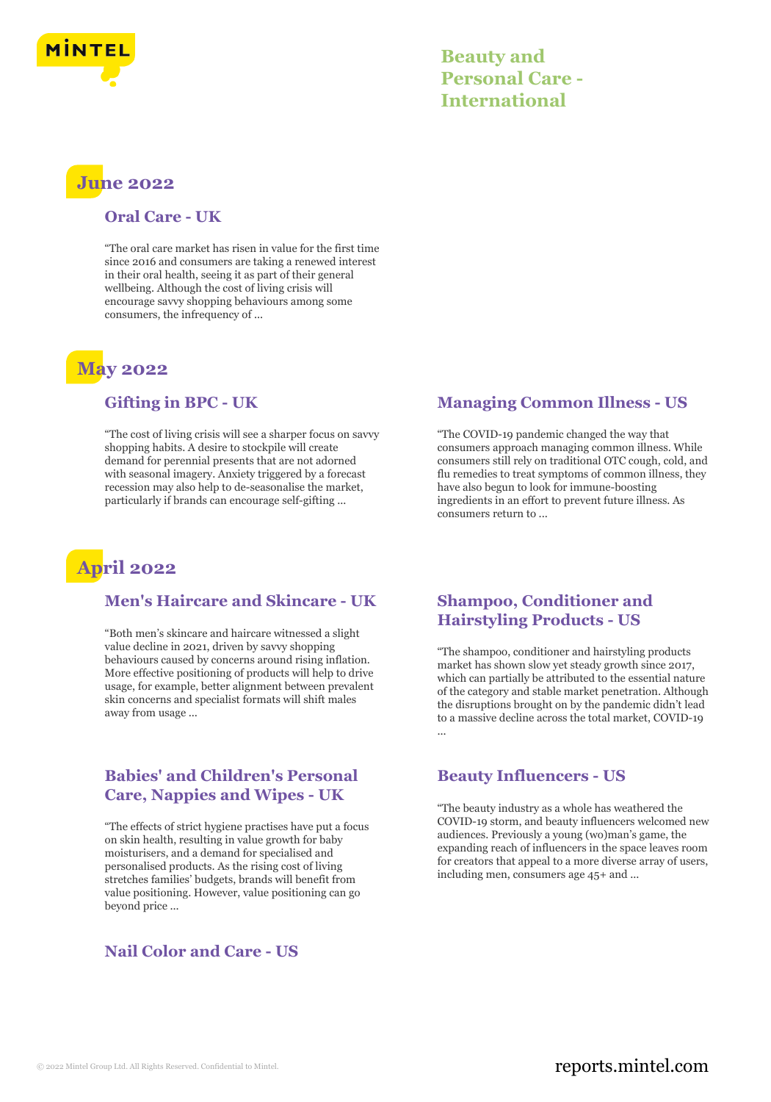

# **Beauty and Personal Care - International**

# **June 2022**

#### **Oral Care - UK**

"The oral care market has risen in value for the first time since 2016 and consumers are taking a renewed interest in their oral health, seeing it as part of their general wellbeing. Although the cost of living crisis will encourage savvy shopping behaviours among some consumers, the infrequency of ...

# **May 2022**

#### **Gifting in BPC - UK**

"The cost of living crisis will see a sharper focus on savvy shopping habits. A desire to stockpile will create demand for perennial presents that are not adorned with seasonal imagery. Anxiety triggered by a forecast recession may also help to de-seasonalise the market, particularly if brands can encourage self-gifting ...



#### **Men's Haircare and Skincare - UK**

"Both men's skincare and haircare witnessed a slight value decline in 2021, driven by savvy shopping behaviours caused by concerns around rising inflation. More effective positioning of products will help to drive usage, for example, better alignment between prevalent skin concerns and specialist formats will shift males away from usage ...

# **Babies' and Children's Personal Care, Nappies and Wipes - UK**

"The effects of strict hygiene practises have put a focus on skin health, resulting in value growth for baby moisturisers, and a demand for specialised and personalised products. As the rising cost of living stretches families' budgets, brands will benefit from value positioning. However, value positioning can go beyond price ...

# **Nail Color and Care - US**

# **Managing Common Illness - US**

"The COVID-19 pandemic changed the way that consumers approach managing common illness. While consumers still rely on traditional OTC cough, cold, and flu remedies to treat symptoms of common illness, they have also begun to look for immune-boosting ingredients in an effort to prevent future illness. As consumers return to ...

#### **Shampoo, Conditioner and Hairstyling Products - US**

"The shampoo, conditioner and hairstyling products market has shown slow yet steady growth since 2017, which can partially be attributed to the essential nature of the category and stable market penetration. Although the disruptions brought on by the pandemic didn't lead to a massive decline across the total market, COVID-19 ...

# **Beauty Influencers - US**

"The beauty industry as a whole has weathered the COVID-19 storm, and beauty influencers welcomed new audiences. Previously a young (wo)man's game, the expanding reach of influencers in the space leaves room for creators that appeal to a more diverse array of users, including men, consumers age 45+ and ...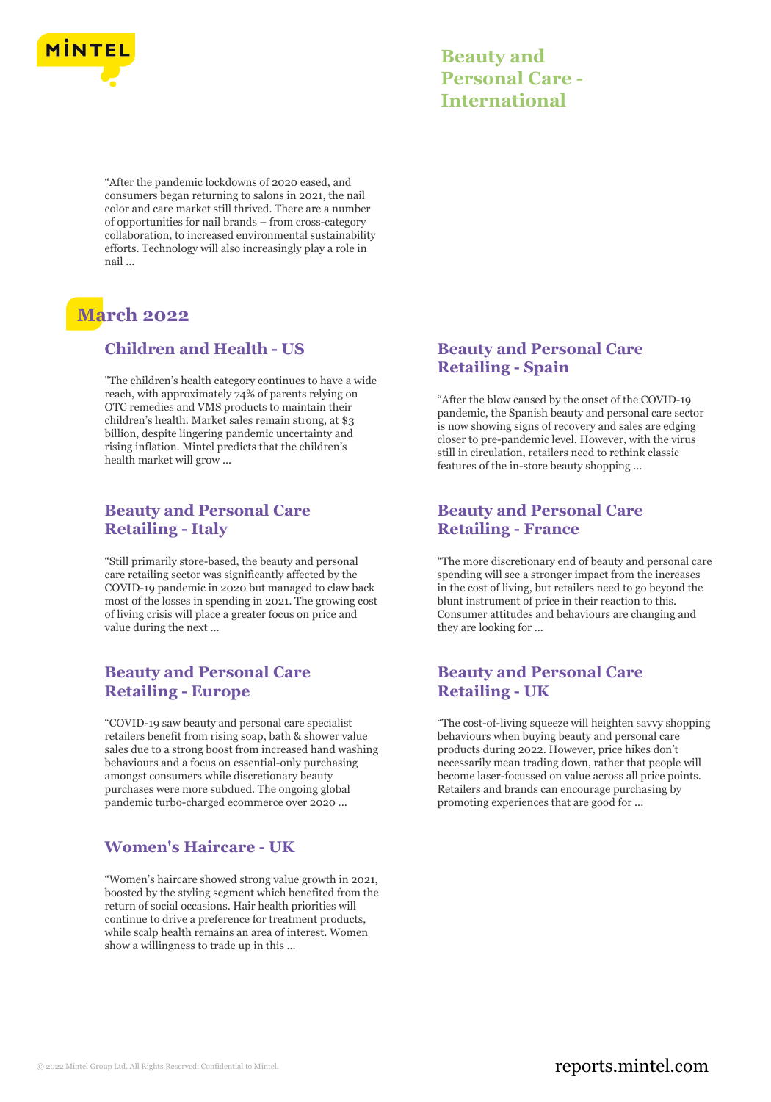

| <b>Beauty and</b>      |
|------------------------|
| <b>Personal Care -</b> |
| <b>International</b>   |

"After the pandemic lockdowns of 2020 eased, and consumers began returning to salons in 2021, the nail color and care market still thrived. There are a number of opportunities for nail brands – from cross-category collaboration, to increased environmental sustainability efforts. Technology will also increasingly play a role in nail ...

# **March 2022**

#### **Children and Health - US**

"The children's health category continues to have a wide reach, with approximately 74% of parents relying on OTC remedies and VMS products to maintain their children's health. Market sales remain strong, at \$3 billion, despite lingering pandemic uncertainty and rising inflation. Mintel predicts that the children's health market will grow ...

### **Beauty and Personal Care Retailing - Italy**

"Still primarily store-based, the beauty and personal care retailing sector was significantly affected by the COVID-19 pandemic in 2020 but managed to claw back most of the losses in spending in 2021. The growing cost of living crisis will place a greater focus on price and value during the next ...

# **Beauty and Personal Care Retailing - Europe**

"COVID-19 saw beauty and personal care specialist retailers benefit from rising soap, bath & shower value sales due to a strong boost from increased hand washing behaviours and a focus on essential-only purchasing amongst consumers while discretionary beauty purchases were more subdued. The ongoing global pandemic turbo-charged ecommerce over 2020 ...

# **Women's Haircare - UK**

"Women's haircare showed strong value growth in 2021, boosted by the styling segment which benefited from the return of social occasions. Hair health priorities will continue to drive a preference for treatment products, while scalp health remains an area of interest. Women show a willingness to trade up in this ...

# **Beauty and Personal Care Retailing - Spain**

"After the blow caused by the onset of the COVID-19 pandemic, the Spanish beauty and personal care sector is now showing signs of recovery and sales are edging closer to pre-pandemic level. However, with the virus still in circulation, retailers need to rethink classic features of the in-store beauty shopping ...

# **Beauty and Personal Care Retailing - France**

"The more discretionary end of beauty and personal care spending will see a stronger impact from the increases in the cost of living, but retailers need to go beyond the blunt instrument of price in their reaction to this. Consumer attitudes and behaviours are changing and they are looking for ...

# **Beauty and Personal Care Retailing - UK**

"The cost-of-living squeeze will heighten savvy shopping behaviours when buying beauty and personal care products during 2022. However, price hikes don't necessarily mean trading down, rather that people will become laser-focussed on value across all price points. Retailers and brands can encourage purchasing by promoting experiences that are good for ...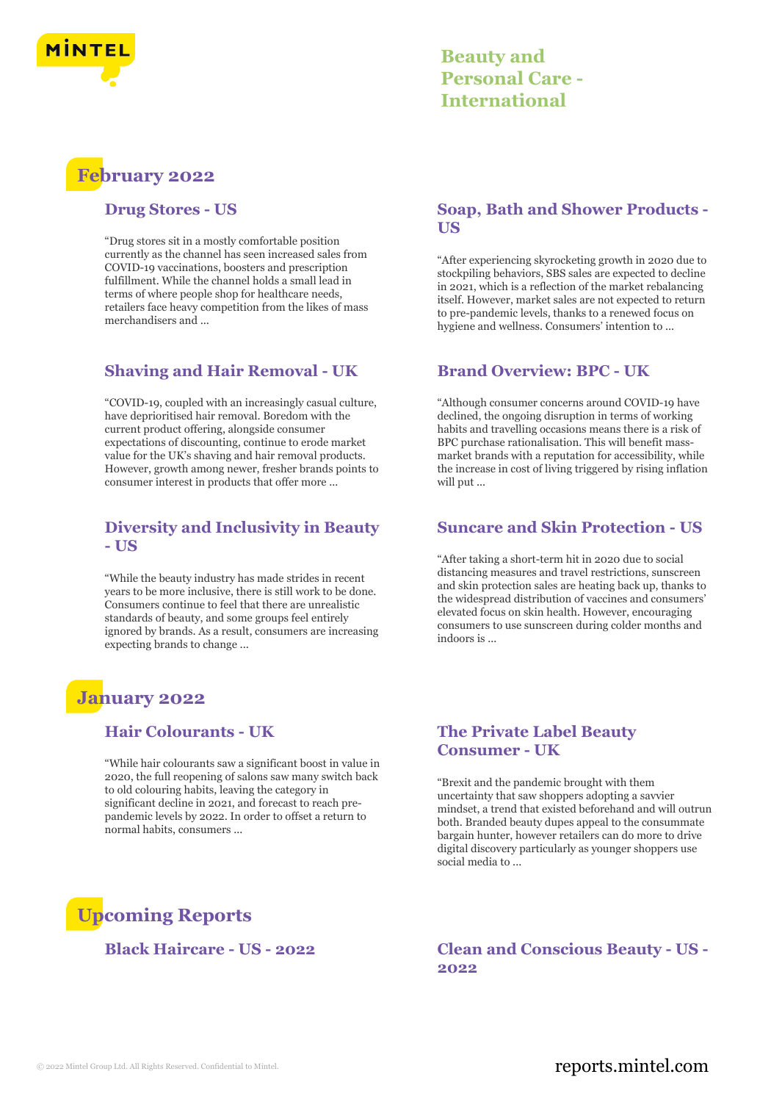

# **Beauty and Personal Care - International**

# **February 2022**

#### **Drug Stores - US**

"Drug stores sit in a mostly comfortable position currently as the channel has seen increased sales from COVID-19 vaccinations, boosters and prescription fulfillment. While the channel holds a small lead in terms of where people shop for healthcare needs, retailers face heavy competition from the likes of mass merchandisers and ...

# **Shaving and Hair Removal - UK**

"COVID-19, coupled with an increasingly casual culture, have deprioritised hair removal. Boredom with the current product offering, alongside consumer expectations of discounting, continue to erode market value for the UK's shaving and hair removal products. However, growth among newer, fresher brands points to consumer interest in products that offer more ...

#### **Diversity and Inclusivity in Beauty - US**

"While the beauty industry has made strides in recent years to be more inclusive, there is still work to be done. Consumers continue to feel that there are unrealistic standards of beauty, and some groups feel entirely ignored by brands. As a result, consumers are increasing expecting brands to change ...

# **January 2022**

#### **Hair Colourants - UK**

"While hair colourants saw a significant boost in value in 2020, the full reopening of salons saw many switch back to old colouring habits, leaving the category in significant decline in 2021, and forecast to reach prepandemic levels by 2022. In order to offset a return to normal habits, consumers ...

### **Soap, Bath and Shower Products - US**

"After experiencing skyrocketing growth in 2020 due to stockpiling behaviors, SBS sales are expected to decline in 2021, which is a reflection of the market rebalancing itself. However, market sales are not expected to return to pre-pandemic levels, thanks to a renewed focus on hygiene and wellness. Consumers' intention to ...

#### **Brand Overview: BPC - UK**

"Although consumer concerns around COVID-19 have declined, the ongoing disruption in terms of working habits and travelling occasions means there is a risk of BPC purchase rationalisation. This will benefit massmarket brands with a reputation for accessibility, while the increase in cost of living triggered by rising inflation will put

#### **Suncare and Skin Protection - US**

"After taking a short-term hit in 2020 due to social distancing measures and travel restrictions, sunscreen and skin protection sales are heating back up, thanks to the widespread distribution of vaccines and consumers' elevated focus on skin health. However, encouraging consumers to use sunscreen during colder months and indoors is ...

### **The Private Label Beauty Consumer - UK**

"Brexit and the pandemic brought with them uncertainty that saw shoppers adopting a savvier mindset, a trend that existed beforehand and will outrun both. Branded beauty dupes appeal to the consummate bargain hunter, however retailers can do more to drive digital discovery particularly as younger shoppers use social media to ...

# **Upcoming Reports**

**Black Haircare - US - 2022 Clean and Conscious Beauty - US - 2022**